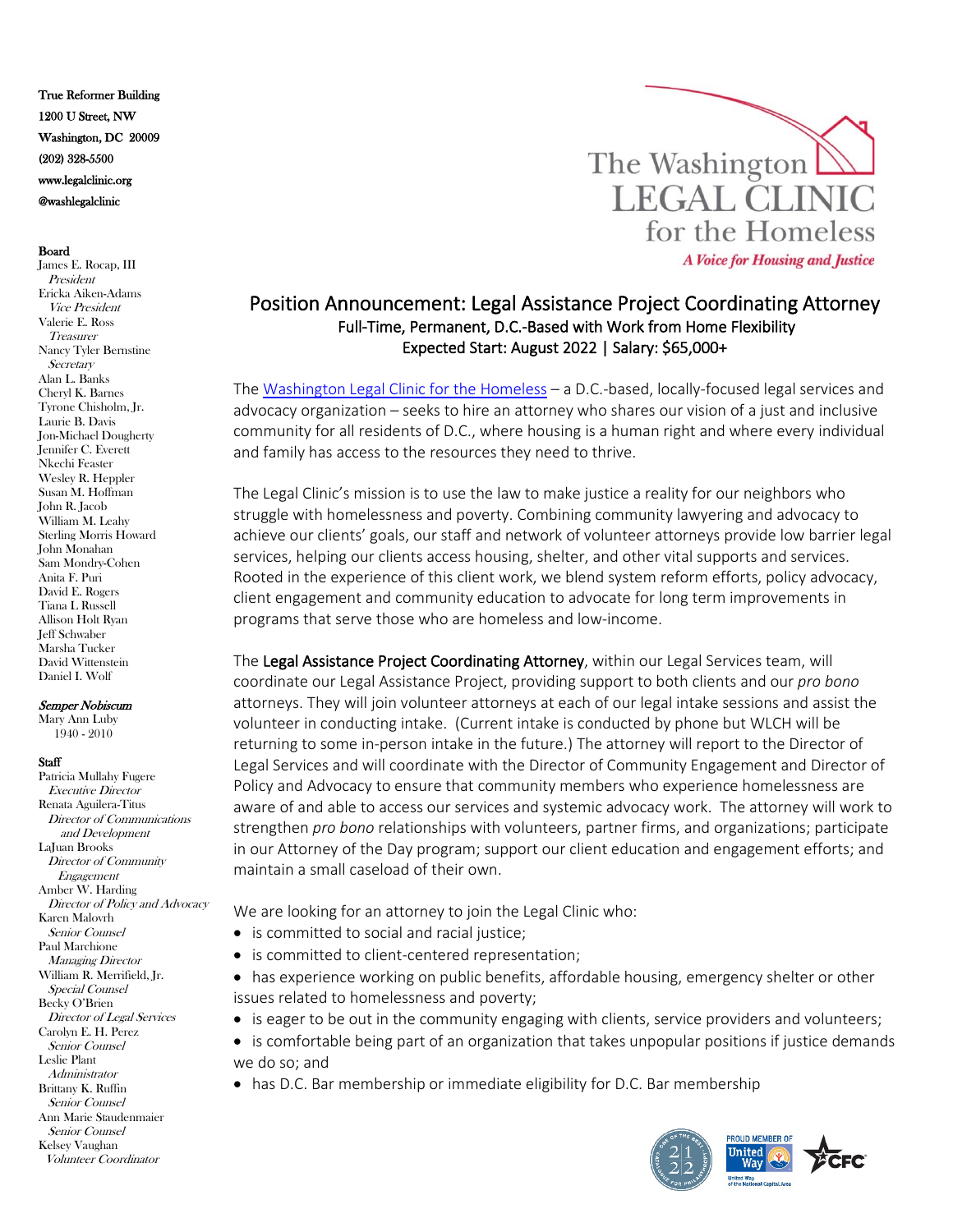True Reformer Building 1200 U Street, NW Washington, DC 20009 (202) 328-5500 www.legalclinic.org @washlegalclinic

## Board

James E. Rocap, III President Ericka Aiken-Adams Vice President Valerie E. Ross **Treasurer** Nancy Tyler Bernstine **Secretary** Alan L. Banks Cheryl K. Barnes Tyrone Chisholm, Jr. Laurie B. Davis Jon-Michael Dougherty Jennifer C. Everett Nkechi Feaster Wesley R. Heppler Susan M. Hoffman John R. Jacob William M. Leahy Sterling Morris Howard John Monahan Sam Mondry-Cohen Anita F. Puri David E. Rogers Tiana L Russell Allison Holt Ryan Jeff Schwaber Marsha Tucker David Wittenstein Daniel I. Wolf

## Semper Nobiscum

Mary Ann Luby 1940 - 2010

## **Staff**

Patricia Mullahy Fugere Executive Director Renata Aguilera-Titus Director of Communications and Development LaJuan Brooks Director of Community Engagement Amber W. Harding Director of Policy and Advocacy Karen Malovrh Senior Counsel Paul Marchione Managing Director William R. Merrifield, Jr. Special Counsel Becky O'Brien Director of Legal Services Carolyn E. H. Perez Senior Counsel Leslie Plant Administrator Brittany K. Ruffin Senior Counsel Ann Marie Staudenmaier Senior Counsel Kelsey Vaughan Volunteer Coordinator



## Position Announcement: Legal Assistance Project Coordinating Attorney Full-Time, Permanent, D.C.-Based with Work from Home Flexibility Expected Start: August 2022 | Salary: \$65,000+

The [Washington Legal Clinic for the Homeless](http://www.legalclinic.org/) – a D.C.-based, locally-focused legal services and advocacy organization – seeks to hire an attorney who shares our vision of a just and inclusive community for all residents of D.C., where housing is a human right and where every individual and family has access to the resources they need to thrive.

The Legal Clinic's mission is to use the law to make justice a reality for our neighbors who struggle with homelessness and poverty. Combining community lawyering and advocacy to achieve our clients' goals, our staff and network of volunteer attorneys provide low barrier legal services, helping our clients access housing, shelter, and other vital supports and services. Rooted in the experience of this client work, we blend system reform efforts, policy advocacy, client engagement and community education to advocate for long term improvements in programs that serve those who are homeless and low-income.

The Legal Assistance Project Coordinating Attorney, within our Legal Services team, will coordinate our Legal Assistance Project, providing support to both clients and our *pro bono* attorneys. They will join volunteer attorneys at each of our legal intake sessions and assist the volunteer in conducting intake. (Current intake is conducted by phone but WLCH will be returning to some in-person intake in the future.) The attorney will report to the Director of Legal Services and will coordinate with the Director of Community Engagement and Director of Policy and Advocacy to ensure that community members who experience homelessness are aware of and able to access our services and systemic advocacy work. The attorney will work to strengthen *pro bono* relationships with volunteers, partner firms, and organizations; participate in our Attorney of the Day program; support our client education and engagement efforts; and maintain a small caseload of their own.

We are looking for an attorney to join the Legal Clinic who:

- is committed to social and racial justice;
- is committed to client-centered representation;
- has experience working on public benefits, affordable housing, emergency shelter or other issues related to homelessness and poverty;
- is eager to be out in the community engaging with clients, service providers and volunteers;
- is comfortable being part of an organization that takes unpopular positions if justice demands we do so; and
- has D.C. Bar membership or immediate eligibility for D.C. Bar membership